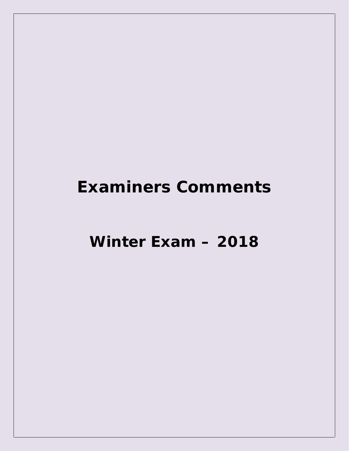Winter Exam - 2018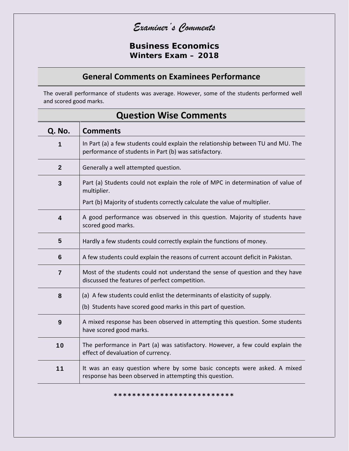**Business Economics Winters Exam – 2018**

#### **General Comments on Examinees Performance**

The overall performance of students was average. However, some of the students performed well and scored good marks.

| Q. No.                  | <b>Comments</b>                                                                                                                           |
|-------------------------|-------------------------------------------------------------------------------------------------------------------------------------------|
| 1                       | In Part (a) a few students could explain the relationship between TU and MU. The<br>performance of students in Part (b) was satisfactory. |
| $\mathbf{2}$            | Generally a well attempted question.                                                                                                      |
| 3                       | Part (a) Students could not explain the role of MPC in determination of value of<br>multiplier.                                           |
|                         | Part (b) Majority of students correctly calculate the value of multiplier.                                                                |
| $\overline{\mathbf{4}}$ | A good performance was observed in this question. Majority of students have<br>scored good marks.                                         |
| $5\phantom{1}$          | Hardly a few students could correctly explain the functions of money.                                                                     |
| 6                       | A few students could explain the reasons of current account deficit in Pakistan.                                                          |
| $\overline{7}$          | Most of the students could not understand the sense of question and they have<br>discussed the features of perfect competition.           |
| 8                       | (a) A few students could enlist the determinants of elasticity of supply.                                                                 |
|                         | (b) Students have scored good marks in this part of question.                                                                             |
| 9                       | A mixed response has been observed in attempting this question. Some students<br>have scored good marks.                                  |
| 10                      | The performance in Part (a) was satisfactory. However, a few could explain the<br>effect of devaluation of currency.                      |
| 11                      | It was an easy question where by some basic concepts were asked. A mixed<br>response has been observed in attempting this question.       |

# **Question Wise Comments**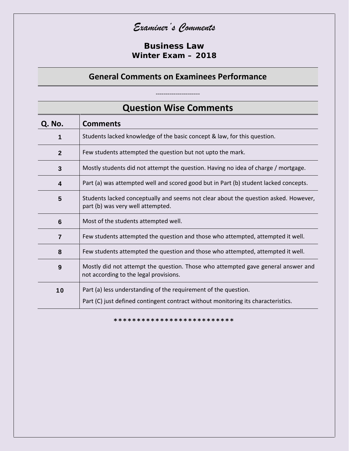**Business Law** Winter Exam - 2018

#### **General Comments on Examinees Performance**

------------------

|                | <b>Question Wise Comments</b>                                                                                                                        |  |
|----------------|------------------------------------------------------------------------------------------------------------------------------------------------------|--|
| Q. No.         | <b>Comments</b>                                                                                                                                      |  |
| 1              | Students lacked knowledge of the basic concept & law, for this question.                                                                             |  |
| $\mathbf{2}$   | Few students attempted the question but not upto the mark.                                                                                           |  |
| 3              | Mostly students did not attempt the question. Having no idea of charge / mortgage.                                                                   |  |
| 4              | Part (a) was attempted well and scored good but in Part (b) student lacked concepts.                                                                 |  |
| 5              | Students lacked conceptually and seems not clear about the question asked. However,<br>part (b) was very well attempted.                             |  |
| $6\phantom{1}$ | Most of the students attempted well.                                                                                                                 |  |
| $\overline{7}$ | Few students attempted the question and those who attempted, attempted it well.                                                                      |  |
| 8              | Few students attempted the question and those who attempted, attempted it well.                                                                      |  |
| 9              | Mostly did not attempt the question. Those who attempted gave general answer and<br>not according to the legal provisions.                           |  |
| 10             | Part (a) less understanding of the requirement of the question.<br>Part (C) just defined contingent contract without monitoring its characteristics. |  |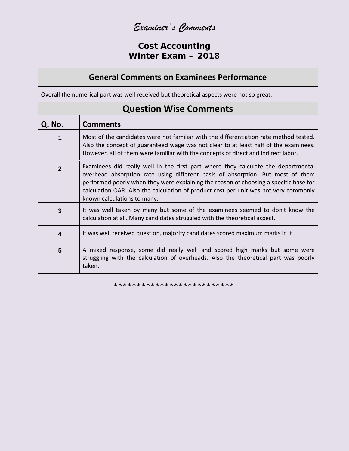**Cost Accounting Winter Exam – 2018**

## **General Comments on Examinees Performance**

Overall the numerical part was well received but theoretical aspects were not so great.

| Q. No.                  | <b>Comments</b>                                                                                                                                                                                                                                                                                                                                                                     |
|-------------------------|-------------------------------------------------------------------------------------------------------------------------------------------------------------------------------------------------------------------------------------------------------------------------------------------------------------------------------------------------------------------------------------|
| 1                       | Most of the candidates were not familiar with the differentiation rate method tested.<br>Also the concept of guaranteed wage was not clear to at least half of the examinees.<br>However, all of them were familiar with the concepts of direct and indirect labor.                                                                                                                 |
| $\overline{2}$          | Examinees did really well in the first part where they calculate the departmental<br>overhead absorption rate using different basis of absorption. But most of them<br>performed poorly when they were explaining the reason of choosing a specific base for<br>calculation OAR. Also the calculation of product cost per unit was not very commonly<br>known calculations to many. |
| 3                       | It was well taken by many but some of the examinees seemed to don't know the<br>calculation at all. Many candidates struggled with the theoretical aspect.                                                                                                                                                                                                                          |
| $\overline{\mathbf{4}}$ | It was well received question, majority candidates scored maximum marks in it.                                                                                                                                                                                                                                                                                                      |
| 5                       | A mixed response, some did really well and scored high marks but some were<br>struggling with the calculation of overheads. Also the theoretical part was poorly<br>taken.                                                                                                                                                                                                          |

## **Question Wise Comments**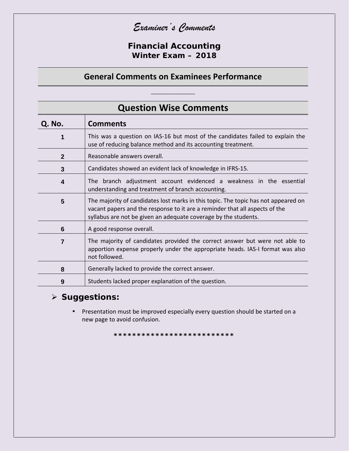*Examiner's Comments*

**Financial Accounting Winter Exam – 2018**

#### **General Comments on Examinees Performance**

----------------------

**Question Wise Comments Q. No. Comments 1** This was a question on IAS-16 but most of the candidates failed to explain the use of reducing balance method and its accounting treatment. **2** Reasonable answers overall. **3** Candidates showed an evident lack of knowledge in IFRS-15. **4** The branch adjustment account evidenced a weakness in the essential understanding and treatment of branch accounting. **5** The majority of candidates lost marks in this topic. The topic has not appeared on vacant papers and the response to it are a reminder that all aspects of the syllabus are not be given an adequate coverage by the students. **6** A good response overall. **7** The majority of candidates provided the correct answer but were not able to apportion expense properly under the appropriate heads. IAS-I format was also not followed. **8** Generally lacked to provide the correct answer. **9** Students lacked proper explanation of the question.

**Suggestions:**

 Presentation must be improved especially every question should be started on a new page to avoid confusion.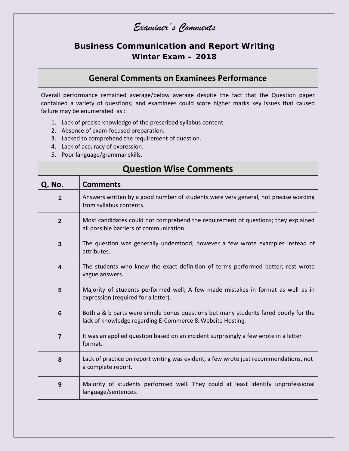## **Business Communication and Report Writing Winter Exam – 2018**

#### **General Comments on Examinees Performance**

Overall performance remained average/below average despite the fact that the Question paper contained a variety of questions; and examinees could score higher marks key issues that caused failure may be enumerated as :

- 1. Lack of precise knowledge of the prescribed syllabus content.
- 2. Absence of exam-focused preparation.
- 3. Lacked to comprehend the requirement of question.
- 4. Lack of accuracy of expression.
- 5. Poor language/grammar skills.

| <b>UNESTION ANDE COMMITTED</b> |                                                                                                                                                  |
|--------------------------------|--------------------------------------------------------------------------------------------------------------------------------------------------|
| Q. No.                         | <b>Comments</b>                                                                                                                                  |
| 1                              | Answers written by a good number of students were very general, not precise wording<br>from syllabus contents.                                   |
| $\overline{2}$                 | Most candidates could not comprehend the requirement of questions; they explained<br>all possible barriers of communication.                     |
| $\mathbf{3}$                   | The question was generally understood; however a few wrote examples instead of<br>attributes.                                                    |
| 4                              | The students who knew the exact definition of terms performed better; rest wrote<br>vague answers.                                               |
| 5                              | Majority of students performed well; A few made mistakes in format as well as in<br>expression (required for a letter).                          |
| $6\phantom{1}$                 | Both a & b parts were simple bonus questions but many students fared poorly for the<br>lack of knowledge regarding E-Commerce & Website Hosting. |
| $\overline{7}$                 | It was an applied question based on an incident surprisingly a few wrote in a letter<br>format.                                                  |
| 8                              | Lack of practice on report writing was evident, a few wrote just recommendations, not<br>a complete report.                                      |
| 9                              | Majority of students performed well. They could at least identify unprofessional<br>language/sentences.                                          |

## **Question Wise Comments**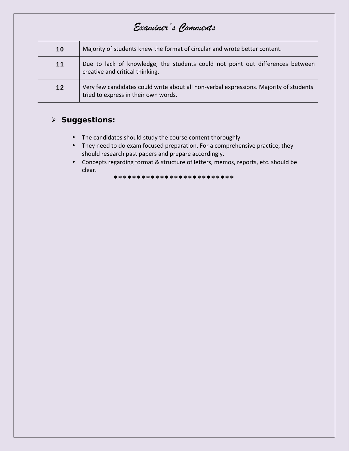| 10 | Majority of students knew the format of circular and wrote better content.                                                     |  |
|----|--------------------------------------------------------------------------------------------------------------------------------|--|
| 11 | Due to lack of knowledge, the students could not point out differences between<br>creative and critical thinking.              |  |
| 12 | Very few candidates could write about all non-verbal expressions. Majority of students<br>tried to express in their own words. |  |

#### > Suggestions:

- The candidates should study the course content thoroughly.
- They need to do exam focused preparation. For a comprehensive practice, they should research past papers and prepare accordingly.
- Concepts regarding format & structure of letters, memos, reports, etc. should be clear.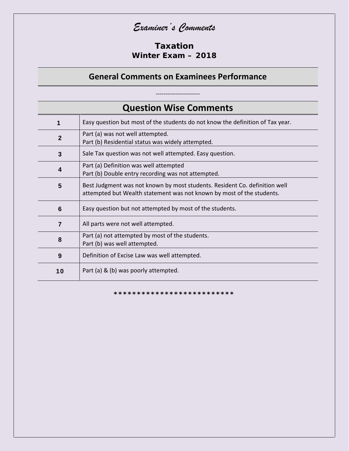#### Taxation Winter  $Fxam - 2018$

#### **General Comments on Examinees Performance**

**Question Wise Comments** Easy question but most of the students do not know the definition of Tax year.  $\mathbf{1}$ Part (a) was not well attempted.  $\overline{2}$ Part (b) Residential status was widely attempted.  $\overline{3}$ Sale Tax question was not well attempted. Easy question. Part (a) Definition was well attempted  $\overline{\mathbf{4}}$ Part (b) Double entry recording was not attempted. 5 Best Judgment was not known by most students. Resident Co. definition well attempted but Wealth statement was not known by most of the students. Easy question but not attempted by most of the students. 6  $\overline{7}$ All parts were not well attempted. Part (a) not attempted by most of the students. 8 Part (b) was well attempted. Definition of Excise Law was well attempted.  $9$ Part (a) & (b) was poorly attempted.  $10$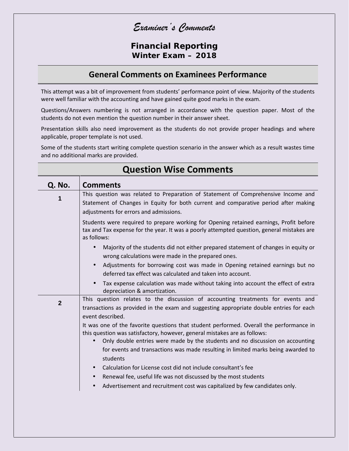*Examiner's Comments*

**Financial Reporting Winter Exam – 2018**

#### **General Comments on Examinees Performance**

This attempt was a bit of improvement from students' performance point of view. Majority of the students were well familiar with the accounting and have gained quite good marks in the exam.

Questions/Answers numbering is not arranged in accordance with the question paper. Most of the students do not even mention the question number in their answer sheet.

Presentation skills also need improvement as the students do not provide proper headings and where applicable, proper template is not used.

Some of the students start writing complete question scenario in the answer which as a result wastes time and no additional marks are provided.

| Q. No.       | <b>Comments</b>                                                                                                                                                                                                    |
|--------------|--------------------------------------------------------------------------------------------------------------------------------------------------------------------------------------------------------------------|
| 1            | This question was related to Preparation of Statement of Comprehensive Income and<br>Statement of Changes in Equity for both current and comparative period after making<br>adjustments for errors and admissions. |
|              | Students were required to prepare working for Opening retained earnings, Profit before<br>tax and Tax expense for the year. It was a poorly attempted question, general mistakes are<br>as follows:                |
|              | Majority of the students did not either prepared statement of changes in equity or<br>$\bullet$<br>wrong calculations were made in the prepared ones.                                                              |
|              | Adjustments for borrowing cost was made in Opening retained earnings but no<br>$\bullet$<br>deferred tax effect was calculated and taken into account.                                                             |
|              | Tax expense calculation was made without taking into account the effect of extra<br>depreciation & amortization.                                                                                                   |
| $\mathbf{2}$ | This question relates to the discussion of accounting treatments for events and<br>transactions as provided in the exam and suggesting appropriate double entries for each<br>event described.                     |
|              | It was one of the favorite questions that student performed. Overall the performance in<br>this question was satisfactory, however, general mistakes are as follows:                                               |
|              | Only double entries were made by the students and no discussion on accounting<br>$\bullet$<br>for events and transactions was made resulting in limited marks being awarded to<br>students                         |
|              | Calculation for License cost did not include consultant's fee<br>$\bullet$                                                                                                                                         |
|              | Renewal fee, useful life was not discussed by the most students<br>$\bullet$                                                                                                                                       |
|              | Advertisement and recruitment cost was capitalized by few candidates only.<br>$\bullet$                                                                                                                            |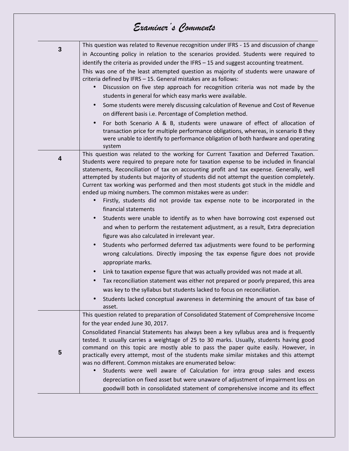| $\mathbf{3}$ | This question was related to Revenue recognition under IFRS - 15 and discussion of change<br>in Accounting policy in relation to the scenarios provided. Students were required to<br>identify the criteria as provided under the IFRS - 15 and suggest accounting treatment.<br>This was one of the least attempted question as majority of students were unaware of<br>criteria defined by IFRS - 15. General mistakes are as follows:<br>Discussion on five step approach for recognition criteria was not made by the<br>students in general for which easy marks were available. |
|--------------|---------------------------------------------------------------------------------------------------------------------------------------------------------------------------------------------------------------------------------------------------------------------------------------------------------------------------------------------------------------------------------------------------------------------------------------------------------------------------------------------------------------------------------------------------------------------------------------|
|              | Some students were merely discussing calculation of Revenue and Cost of Revenue                                                                                                                                                                                                                                                                                                                                                                                                                                                                                                       |
|              | on different basis i.e. Percentage of Completion method.                                                                                                                                                                                                                                                                                                                                                                                                                                                                                                                              |
|              | For both Scenario A & B, students were unaware of effect of allocation of<br>transaction price for multiple performance obligations, whereas, in scenario B they<br>were unable to identify to performance obligation of both hardware and operating<br>system                                                                                                                                                                                                                                                                                                                        |
| 4            | This question was related to the working for Current Taxation and Deferred Taxation.<br>Students were required to prepare note for taxation expense to be included in financial<br>statements, Reconciliation of tax on accounting profit and tax expense. Generally, well<br>attempted by students but majority of students did not attempt the question completely.<br>Current tax working was performed and then most students got stuck in the middle and<br>ended up mixing numbers. The common mistakes were as under:                                                          |
|              | Firstly, students did not provide tax expense note to be incorporated in the<br>$\bullet$<br>financial statements                                                                                                                                                                                                                                                                                                                                                                                                                                                                     |
|              | Students were unable to identify as to when have borrowing cost expensed out<br>and when to perform the restatement adjustment, as a result, Extra depreciation<br>figure was also calculated in irrelevant year.                                                                                                                                                                                                                                                                                                                                                                     |
|              | Students who performed deferred tax adjustments were found to be performing<br>$\bullet$<br>wrong calculations. Directly imposing the tax expense figure does not provide<br>appropriate marks.                                                                                                                                                                                                                                                                                                                                                                                       |
|              | Link to taxation expense figure that was actually provided was not made at all.<br>$\bullet$                                                                                                                                                                                                                                                                                                                                                                                                                                                                                          |
|              | Tax reconciliation statement was either not prepared or poorly prepared, this area                                                                                                                                                                                                                                                                                                                                                                                                                                                                                                    |
|              | was key to the syllabus but students lacked to focus on reconciliation.                                                                                                                                                                                                                                                                                                                                                                                                                                                                                                               |
|              | Students lacked conceptual awareness in determining the amount of tax base of<br>$\bullet$<br>asset.                                                                                                                                                                                                                                                                                                                                                                                                                                                                                  |
|              | This question related to preparation of Consolidated Statement of Comprehensive Income                                                                                                                                                                                                                                                                                                                                                                                                                                                                                                |
|              | for the year ended June 30, 2017.                                                                                                                                                                                                                                                                                                                                                                                                                                                                                                                                                     |
| 5            | Consolidated Financial Statements has always been a key syllabus area and is frequently<br>tested. It usually carries a weightage of 25 to 30 marks. Usually, students having good<br>command on this topic are mostly able to pass the paper quite easily. However, in<br>practically every attempt, most of the students make similar mistakes and this attempt<br>was no different. Common mistakes are enumerated below:                                                                                                                                                          |
|              | Students were well aware of Calculation for intra group sales and excess                                                                                                                                                                                                                                                                                                                                                                                                                                                                                                              |
|              | depreciation on fixed asset but were unaware of adjustment of impairment loss on                                                                                                                                                                                                                                                                                                                                                                                                                                                                                                      |
|              | goodwill both in consolidated statement of comprehensive income and its effect                                                                                                                                                                                                                                                                                                                                                                                                                                                                                                        |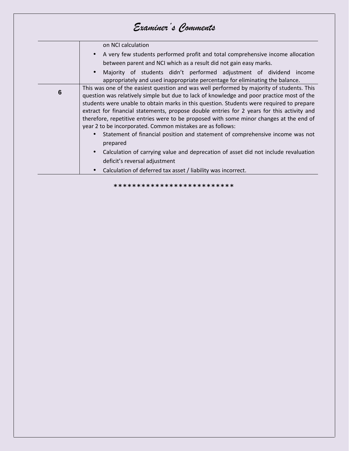|   | on NCI calculation                                                                                                                                                                                                                                                                                                                                                                                                                                                                                                                        |
|---|-------------------------------------------------------------------------------------------------------------------------------------------------------------------------------------------------------------------------------------------------------------------------------------------------------------------------------------------------------------------------------------------------------------------------------------------------------------------------------------------------------------------------------------------|
|   | A very few students performed profit and total comprehensive income allocation<br>between parent and NCI which as a result did not gain easy marks.                                                                                                                                                                                                                                                                                                                                                                                       |
|   | Majority of students didn't performed adjustment of dividend income<br>appropriately and used inappropriate percentage for eliminating the balance.                                                                                                                                                                                                                                                                                                                                                                                       |
| 6 | This was one of the easiest question and was well performed by majority of students. This<br>question was relatively simple but due to lack of knowledge and poor practice most of the<br>students were unable to obtain marks in this question. Students were required to prepare<br>extract for financial statements, propose double entries for 2 years for this activity and<br>therefore, repetitive entries were to be proposed with some minor changes at the end of<br>year 2 to be incorporated. Common mistakes are as follows: |
|   | Statement of financial position and statement of comprehensive income was not<br>prepared                                                                                                                                                                                                                                                                                                                                                                                                                                                 |
|   | Calculation of carrying value and deprecation of asset did not include revaluation                                                                                                                                                                                                                                                                                                                                                                                                                                                        |
|   | deficit's reversal adjustment                                                                                                                                                                                                                                                                                                                                                                                                                                                                                                             |